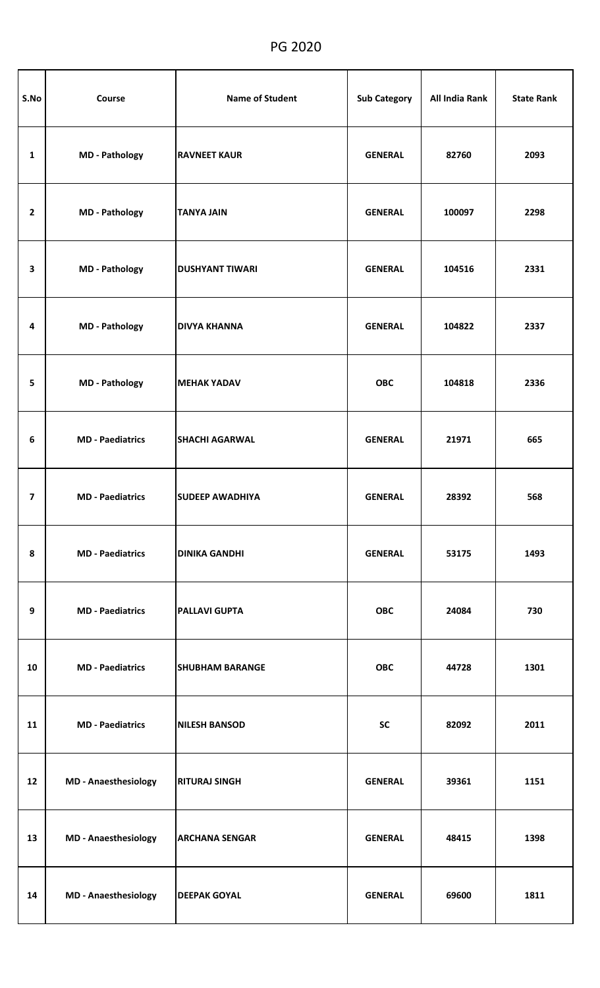## PG 2020

| S.No           | Course                      | <b>Name of Student</b> | <b>Sub Category</b> | All India Rank | <b>State Rank</b> |
|----------------|-----------------------------|------------------------|---------------------|----------------|-------------------|
| 1              | <b>MD</b> - Pathology       | <b>RAVNEET KAUR</b>    | <b>GENERAL</b>      | 82760          | 2093              |
| $\overline{2}$ | <b>MD - Pathology</b>       | <b>TANYA JAIN</b>      | <b>GENERAL</b>      | 100097         | 2298              |
| 3              | <b>MD</b> - Pathology       | <b>DUSHYANT TIWARI</b> | <b>GENERAL</b>      | 104516         | 2331              |
| 4              | <b>MD - Pathology</b>       | <b>DIVYA KHANNA</b>    | <b>GENERAL</b>      | 104822         | 2337              |
| 5              | <b>MD</b> - Pathology       | <b>MEHAK YADAV</b>     | <b>OBC</b>          | 104818         | 2336              |
| 6              | <b>MD</b> - Paediatrics     | <b>SHACHI AGARWAL</b>  | <b>GENERAL</b>      | 21971          | 665               |
| $\overline{7}$ | <b>MD</b> - Paediatrics     | <b>SUDEEP AWADHIYA</b> | <b>GENERAL</b>      | 28392          | 568               |
| 8              | <b>MD</b> - Paediatrics     | <b>DINIKA GANDHI</b>   | <b>GENERAL</b>      | 53175          | 1493              |
| 9              | <b>MD</b> - Paediatrics     | <b>PALLAVI GUPTA</b>   | <b>OBC</b>          | 24084          | 730               |
| 10             | <b>MD</b> - Paediatrics     | <b>SHUBHAM BARANGE</b> | <b>OBC</b>          | 44728          | 1301              |
| 11             | <b>MD</b> - Paediatrics     | <b>NILESH BANSOD</b>   | <b>SC</b>           | 82092          | 2011              |
| 12             | <b>MD - Anaesthesiology</b> | <b>RITURAJ SINGH</b>   | <b>GENERAL</b>      | 39361          | 1151              |
| 13             | <b>MD</b> - Anaesthesiology | <b>ARCHANA SENGAR</b>  | <b>GENERAL</b>      | 48415          | 1398              |
| 14             | <b>MD - Anaesthesiology</b> | <b>DEEPAK GOYAL</b>    | <b>GENERAL</b>      | 69600          | 1811              |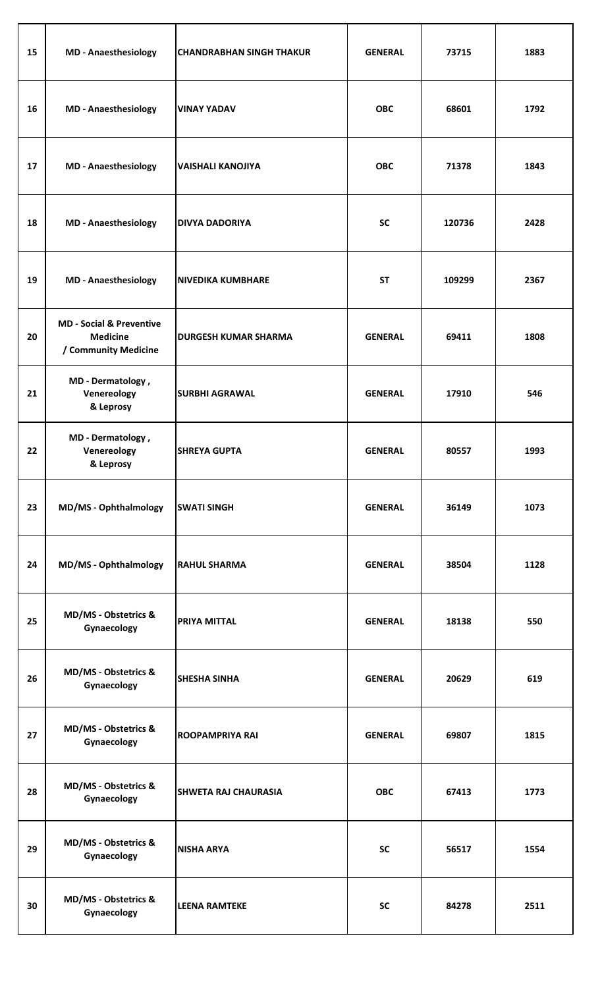| 15 | <b>MD</b> - Anaesthesiology                                                    | <b>CHANDRABHAN SINGH THAKUR</b> | <b>GENERAL</b> | 73715  | 1883 |
|----|--------------------------------------------------------------------------------|---------------------------------|----------------|--------|------|
| 16 | <b>MD</b> - Anaesthesiology                                                    | <b>VINAY YADAV</b>              | <b>OBC</b>     | 68601  | 1792 |
| 17 | <b>MD</b> - Anaesthesiology                                                    | <b>VAISHALI KANOJIYA</b>        | <b>OBC</b>     | 71378  | 1843 |
| 18 | <b>MD</b> - Anaesthesiology                                                    | <b>DIVYA DADORIYA</b>           | <b>SC</b>      | 120736 | 2428 |
| 19 | <b>MD</b> - Anaesthesiology                                                    | <b>NIVEDIKA KUMBHARE</b>        | <b>ST</b>      | 109299 | 2367 |
| 20 | <b>MD - Social &amp; Preventive</b><br><b>Medicine</b><br>/ Community Medicine | <b>DURGESH KUMAR SHARMA</b>     | <b>GENERAL</b> | 69411  | 1808 |
| 21 | MD - Dermatology,<br>Venereology<br>& Leprosy                                  | <b>SURBHI AGRAWAL</b>           | <b>GENERAL</b> | 17910  | 546  |
| 22 | MD - Dermatology,<br>Venereology<br>& Leprosy                                  | <b>SHREYA GUPTA</b>             | <b>GENERAL</b> | 80557  | 1993 |
| 23 | <b>MD/MS - Ophthalmology</b>                                                   | <b>SWATI SINGH</b>              | <b>GENERAL</b> | 36149  | 1073 |
| 24 | <b>MD/MS - Ophthalmology</b>                                                   | <b>RAHUL SHARMA</b>             | <b>GENERAL</b> | 38504  | 1128 |
| 25 | <b>MD/MS - Obstetrics &amp;</b><br>Gynaecology                                 | <b>PRIYA MITTAL</b>             | <b>GENERAL</b> | 18138  | 550  |
| 26 | <b>MD/MS - Obstetrics &amp;</b><br>Gynaecology                                 | <b>SHESHA SINHA</b>             | <b>GENERAL</b> | 20629  | 619  |
| 27 | MD/MS - Obstetrics &<br>Gynaecology                                            | <b>ROOPAMPRIYA RAI</b>          | <b>GENERAL</b> | 69807  | 1815 |
| 28 | MD/MS - Obstetrics &<br>Gynaecology                                            | <b>SHWETA RAJ CHAURASIA</b>     | <b>OBC</b>     | 67413  | 1773 |
| 29 | MD/MS - Obstetrics &<br>Gynaecology                                            | <b>NISHA ARYA</b>               | <b>SC</b>      | 56517  | 1554 |
| 30 | <b>MD/MS - Obstetrics &amp;</b><br>Gynaecology                                 | <b>LEENA RAMTEKE</b>            | SC             | 84278  | 2511 |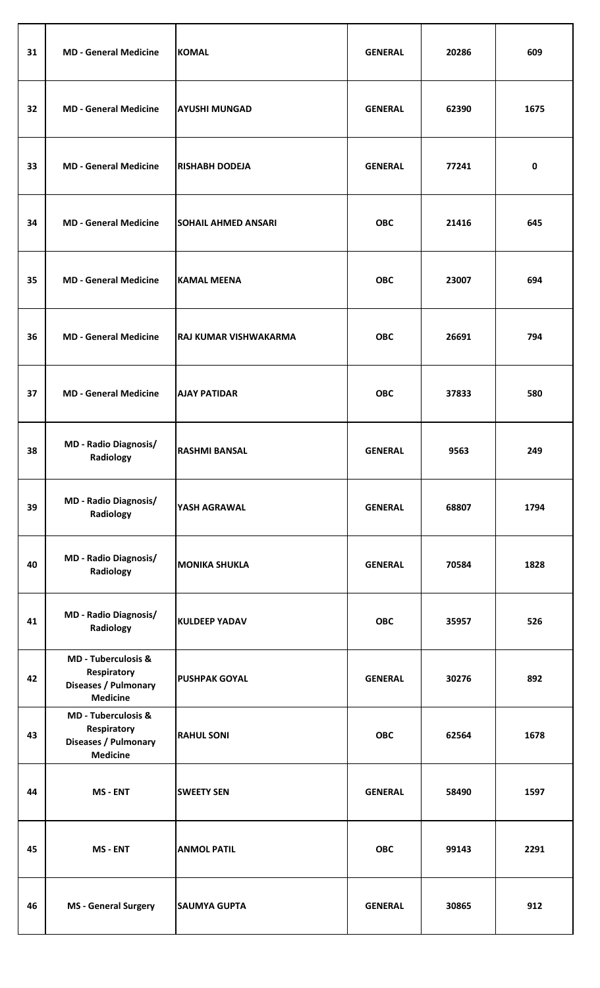| 31 | <b>MD - General Medicine</b>                                                             | <b>KOMAL</b>               | <b>GENERAL</b> | 20286 | 609  |
|----|------------------------------------------------------------------------------------------|----------------------------|----------------|-------|------|
| 32 | <b>MD - General Medicine</b>                                                             | <b>AYUSHI MUNGAD</b>       | <b>GENERAL</b> | 62390 | 1675 |
| 33 | <b>MD - General Medicine</b>                                                             | <b>RISHABH DODEJA</b>      | <b>GENERAL</b> | 77241 | 0    |
| 34 | <b>MD - General Medicine</b>                                                             | <b>SOHAIL AHMED ANSARI</b> | <b>OBC</b>     | 21416 | 645  |
| 35 | <b>MD - General Medicine</b>                                                             | <b>KAMAL MEENA</b>         | <b>OBC</b>     | 23007 | 694  |
| 36 | <b>MD - General Medicine</b>                                                             | RAJ KUMAR VISHWAKARMA      | <b>OBC</b>     | 26691 | 794  |
| 37 | <b>MD - General Medicine</b>                                                             | <b>AJAY PATIDAR</b>        | <b>OBC</b>     | 37833 | 580  |
| 38 | <b>MD - Radio Diagnosis/</b><br>Radiology                                                | <b>RASHMI BANSAL</b>       | <b>GENERAL</b> | 9563  | 249  |
| 39 | <b>MD - Radio Diagnosis/</b><br>Radiology                                                | YASH AGRAWAL               | <b>GENERAL</b> | 68807 | 1794 |
| 40 | <b>MD - Radio Diagnosis/</b><br>Radiology                                                | <b>MONIKA SHUKLA</b>       | <b>GENERAL</b> | 70584 | 1828 |
| 41 | <b>MD - Radio Diagnosis/</b><br>Radiology                                                | <b>KULDEEP YADAV</b>       | <b>OBC</b>     | 35957 | 526  |
| 42 | <b>MD - Tuberculosis &amp;</b><br>Respiratory<br>Diseases / Pulmonary<br><b>Medicine</b> | <b>PUSHPAK GOYAL</b>       | <b>GENERAL</b> | 30276 | 892  |
| 43 | <b>MD - Tuberculosis &amp;</b><br>Respiratory<br>Diseases / Pulmonary<br><b>Medicine</b> | <b>RAHUL SONI</b>          | <b>OBC</b>     | 62564 | 1678 |
| 44 | MS - ENT                                                                                 | <b>SWEETY SEN</b>          | <b>GENERAL</b> | 58490 | 1597 |
| 45 | MS - ENT                                                                                 | <b>ANMOL PATIL</b>         | <b>OBC</b>     | 99143 | 2291 |
| 46 | <b>MS</b> - General Surgery                                                              | <b>SAUMYA GUPTA</b>        | <b>GENERAL</b> | 30865 | 912  |